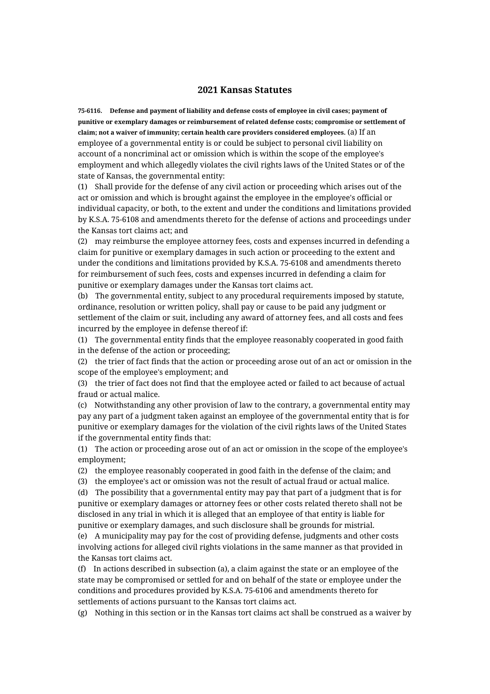## **2021 Kansas Statutes**

**75-6116. Defense and payment of liability and defense costs of employee in civil cases; payment of punitive or exemplary damages or reimbursement of related defense costs; compromise or settlement of claim; not a waiver of immunity; certain health care providers considered employees.** (a) If an employee of a governmental entity is or could be subject to personal civil liability on account of a noncriminal act or omission which is within the scope of the employee's employment and which allegedly violates the civil rights laws of the United States or of the state of Kansas, the governmental entity:

(1) Shall provide for the defense of any civil action or proceeding which arises out of the act or omission and which is brought against the employee in the employee's official or individual capacity, or both, to the extent and under the conditions and limitations provided by K.S.A. 75-6108 and amendments thereto for the defense of actions and proceedings under the Kansas tort claims act; and

(2) may reimburse the employee attorney fees, costs and expenses incurred in defending a claim for punitive or exemplary damages in such action or proceeding to the extent and under the conditions and limitations provided by K.S.A. 75-6108 and amendments thereto for reimbursement of such fees, costs and expenses incurred in defending a claim for punitive or exemplary damages under the Kansas tort claims act.

(b) The governmental entity, subject to any procedural requirements imposed by statute, ordinance, resolution or written policy, shall pay or cause to be paid any judgment or settlement of the claim or suit, including any award of attorney fees, and all costs and fees incurred by the employee in defense thereof if:

(1) The governmental entity finds that the employee reasonably cooperated in good faith in the defense of the action or proceeding;

(2) the trier of fact finds that the action or proceeding arose out of an act or omission in the scope of the employee's employment; and

(3) the trier of fact does not find that the employee acted or failed to act because of actual fraud or actual malice.

(c) Notwithstanding any other provision of law to the contrary, a governmental entity may pay any part of a judgment taken against an employee of the governmental entity that is for punitive or exemplary damages for the violation of the civil rights laws of the United States if the governmental entity finds that:

(1) The action or proceeding arose out of an act or omission in the scope of the employee's employment;

(2) the employee reasonably cooperated in good faith in the defense of the claim; and

(3) the employee's act or omission was not the result of actual fraud or actual malice.

(d) The possibility that a governmental entity may pay that part of a judgment that is for punitive or exemplary damages or attorney fees or other costs related thereto shall not be disclosed in any trial in which it is alleged that an employee of that entity is liable for punitive or exemplary damages, and such disclosure shall be grounds for mistrial.

(e) A municipality may pay for the cost of providing defense, judgments and other costs involving actions for alleged civil rights violations in the same manner as that provided in the Kansas tort claims act.

(f) In actions described in subsection (a), a claim against the state or an employee of the state may be compromised or settled for and on behalf of the state or employee under the conditions and procedures provided by K.S.A. 75-6106 and amendments thereto for settlements of actions pursuant to the Kansas tort claims act.

(g) Nothing in this section or in the Kansas tort claims act shall be construed as a waiver by